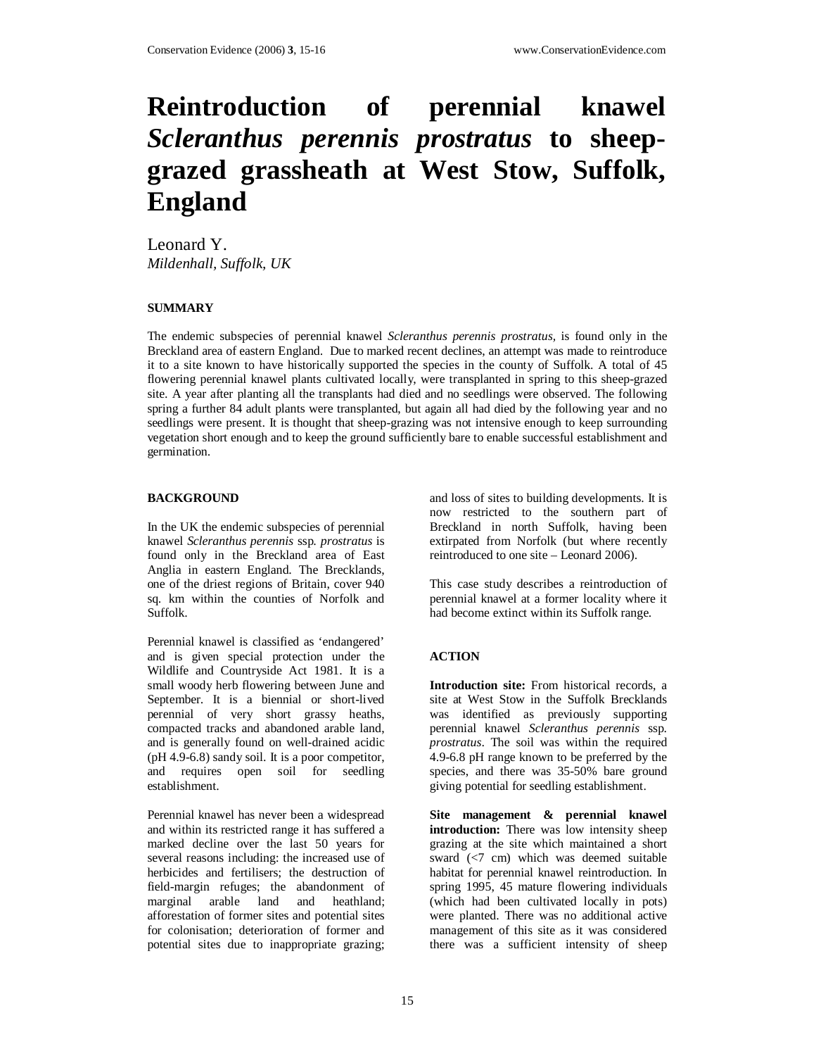# **Reintroduction of perennial knawel**  *Scleranthus perennis prostratus* **to sheepgrazed grassheath at West Stow, Suffolk, England**

Leonard Y. *Mildenhall, Suffolk, UK*

## **SUMMARY**

The endemic subspecies of perennial knawel *Scleranthus perennis prostratus,* is found only in the Breckland area of eastern England. Due to marked recent declines, an attempt was made to reintroduce it to a site known to have historically supported the species in the county of Suffolk. A total of 45 flowering perennial knawel plants cultivated locally, were transplanted in spring to this sheep-grazed site. A year after planting all the transplants had died and no seedlings were observed. The following spring a further 84 adult plants were transplanted, but again all had died by the following year and no seedlings were present. It is thought that sheep-grazing was not intensive enough to keep surrounding vegetation short enough and to keep the ground sufficiently bare to enable successful establishment and germination.

#### **BACKGROUND**

In the UK the endemic subspecies of perennial knawel *Scleranthus perennis* ssp. *prostratus* is found only in the Breckland area of East Anglia in eastern England. The Brecklands, one of the driest regions of Britain, cover 940 sq. km within the counties of Norfolk and Suffolk.

Perennial knawel is classified as 'endangered' and is given special protection under the Wildlife and Countryside Act 1981. It is a small woody herb flowering between June and September. It is a biennial or short-lived perennial of very short grassy heaths, compacted tracks and abandoned arable land, and is generally found on well-drained acidic (pH 4.9-6.8) sandy soil. It is a poor competitor, and requires open soil for seedling establishment.

Perennial knawel has never been a widespread and within its restricted range it has suffered a marked decline over the last 50 years for several reasons including: the increased use of herbicides and fertilisers; the destruction of field-margin refuges; the abandonment of marginal arable land and heathland; afforestation of former sites and potential sites for colonisation; deterioration of former and potential sites due to inappropriate grazing;

and loss of sites to building developments. It is now restricted to the southern part of Breckland in north Suffolk, having been extirpated from Norfolk (but where recently reintroduced to one site – Leonard 2006).

This case study describes a reintroduction of perennial knawel at a former locality where it had become extinct within its Suffolk range.

## **ACTION**

**Introduction site:** From historical records, a site at West Stow in the Suffolk Brecklands was identified as previously supporting perennial knawel *Scleranthus perennis* ssp. *prostratus*. The soil was within the required 4.9-6.8 pH range known to be preferred by the species, and there was 35-50% bare ground giving potential for seedling establishment.

**Site management & perennial knawel introduction:** There was low intensity sheep grazing at the site which maintained a short sward (<7 cm) which was deemed suitable habitat for perennial knawel reintroduction. In spring 1995, 45 mature flowering individuals (which had been cultivated locally in pots) were planted. There was no additional active management of this site as it was considered there was a sufficient intensity of sheep